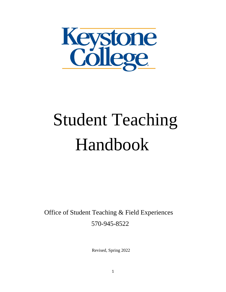

# Student Teaching Handbook

 Office of Student Teaching & Field Experiences 570-945-8522

Revised, Spring 2022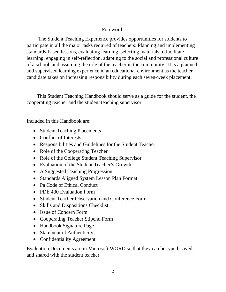#### Foreword

 The Student Teaching Experience provides opportunities for students to participate in all the major tasks required of teachers: Planning and implementing standards-based lessons, evaluating learning, selecting materials to facilitate learning, engaging in self-reflection, adapting to the social and professional culture of a school, and assuming the role of the teacher in the community. It is a planned and supervised learning experience in an educational environment as the teacher candidate takes on increasing responsibility during each seven-week placement.

 This Student Teaching Handbook should serve as a guide for the student, the cooperating teacher and the student teaching supervisor.

Included in this Handbook are:

- Student Teaching Placements
- Conflict of Interests
- Responsibilities and Guidelines for the Student Teacher
- Role of the Cooperating Teacher
- Role of the College Student Teaching Supervisor
- Evaluation of the Student Teacher's Growth
- A Suggested Teaching Progression
- Standards Aligned System Lesson Plan Format
- Pa Code of Ethical Conduct
- PDE 430 Evaluation Form
- Student Teacher Observation and Conference Form
- Skills and Dispositions Checklist
- Issue of Concern Form
- Cooperating Teacher Stipend Form
- Handbook Signature Page
- Statement of Authenticity
- Confidentiality Agreement

Evaluation Documents are in Microsoft WORD so that they can be typed, saved, and shared with the student teacher.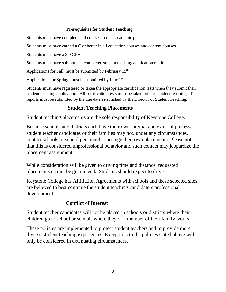#### **Prerequisites for Student Teaching**:

Students must have completed all courses in their academic plan.

Students must have earned a C or better in all education courses and content courses.

Students must have a 3.0 GPA.

Students must have submitted a completed student teaching application on time.

Applications for Fall, must be submitted by February  $15<sup>th</sup>$ .

Applications for Spring, must be submitted by June  $1<sup>st</sup>$ .

Students must have registered or taken the appropriate certification tests when they submit their student teaching application. All certification tests must be taken prior to student teaching. Test reports must be submitted by the due date established by the Director of Student Teaching.

## **Student Teaching Placements**

Student teaching placements are the sole responsibility of Keystone College.

Because schools and districts each have their own internal and external processes, student teacher candidates or their families may not, under any circumstances, contact schools or school personnel to arrange their own placements. Please note that this is considered unprofessional behavior and such contact may jeopardize the placement assignment.

While consideration will be given to driving time and distance, requested placements cannot be guaranteed. Students should expect to drive

Keystone College has Affiliation Agreements with schools and these selected sites are believed to best continue the student teaching candidate's professional development.

## **Conflict of Interest**

Student teacher candidates will not be placed in schools or districts where their children go to school or schools where they or a member of their family works.

These policies are implemented to protect student teachers and to provide more diverse student teaching experiences. Exceptions to the policies stated above will only be considered in extenuating circumstances.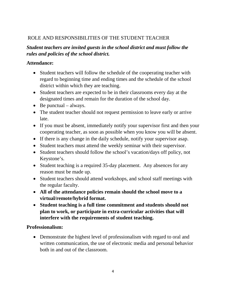# ROLE AND RESPONSIBILITIES OF THE STUDENT TEACHER

# *Student teachers are invited guests in the school district and must follow the rules and policies of the school district.*

## **Attendance:**

- Student teachers will follow the schedule of the cooperating teacher with regard to beginning time and ending times and the schedule of the school district within which they are teaching.
- Student teachers are expected to be in their classrooms every day at the designated times and remain for the duration of the school day.
- Be punctual  $-$  always.
- The student teacher should not request permission to leave early or arrive late.
- If you must be absent, immediately notify your supervisor first and then your cooperating teacher, as soon as possible when you know you will be absent.
- If there is any change in the daily schedule, notify your supervisor asap.
- Student teachers must attend the weekly seminar with their supervisor.
- Student teachers should follow the school's vacation/days off policy, not Keystone's.
- Student teaching is a required 35-day placement. Any absences for any reason must be made up.
- Student teachers should attend workshops, and school staff meetings with the regular faculty.
- **All of the attendance policies remain should the school move to a virtual/remote/hybrid format.**
- **Student teaching is a full time commitment and students should not plan to work, or participate in extra-curricular activities that will interfere with the requirements of student teaching.**

## **Professionalism:**

• Demonstrate the highest level of professionalism with regard to oral and written communication, the use of electronic media and personal behavior both in and out of the classroom.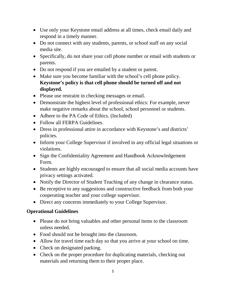- Use only your Keystone email address at all times, check email daily and respond in a timely manner.
- Do not connect with any students, parents, or school staff on any social media site.
- Specifically, do not share your cell phone number or email with students or parents.
- Do not respond if you are emailed by a student or parent.
- Make sure you become familiar with the school's cell phone policy. **Keystone's policy is that cell phone should be turned off and not displayed.**
- Please use restraint in checking messages or email.
- Demonstrate the highest level of professional ethics: For example, never make negative remarks about the school, school personnel or students.
- Adhere to the PA Code of Ethics. (Included)
- Follow all FERPA Guidelines.
- Dress in professional attire in accordance with Keystone's and districts' policies.
- Inform your College Supervisor if involved in any official legal situations or violations.
- Sign the Confidentiality Agreement and Handbook Acknowledgement Form.
- Students are highly encouraged to ensure that all social media accounts have privacy settings activated.
- Notify the Director of Student Teaching of any change in clearance status.
- Be receptive to any suggestions and constructive feedback from both your cooperating teacher and your college supervisor.
- Direct any concerns immediately to your College Supervisor.

# **Operational Guidelines**

- Please do not bring valuables and other personal items to the classroom unless needed.
- Food should not be brought into the classroom.
- Allow for travel time each day so that you arrive at your school on time.
- Check on designated parking.
- Check on the proper procedure for duplicating materials, checking out materials and returning them to their proper place.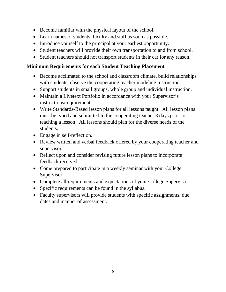- Become familiar with the physical layout of the school.
- Learn names of students, faculty and staff as soon as possible.
- Introduce yourself to the principal at your earliest opportunity.
- Student teachers will provide their own transportation to and from school.
- Student teachers should not transport students in their car for any reason.

## **Minimum Requirements for each Student Teaching Placement**

- Become acclimated to the school and classroom climate, build relationships with students, observe the cooperating teacher modeling instruction.
- Support students in small groups, whole group and individual instruction.
- Maintain a Livetext Portfolio in accordance with your Supervisor's instructions/requirements.
- Write Standards-Based lesson plans for all lessons taught. All lesson plans must be typed and submitted to the cooperating teacher 3 days prior to teaching a lesson. All lessons should plan for the diverse needs of the students.
- Engage in self-reflection.
- Review written and verbal feedback offered by your cooperating teacher and supervisor.
- Reflect upon and consider revising future lesson plans to incorporate feedback received.
- Come prepared to participate in a weekly seminar with your College Supervisor.
- Complete all requirements and expectations of your College Supervisor.
- Specific requirements can be found in the syllabus.
- Faculty supervisors will provide students with specific assignments, due dates and manner of assessment.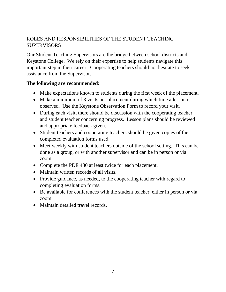# ROLES AND RESPONSIBILITIES OF THE STUDENT TEACHING **SUPERVISORS**

Our Student Teaching Supervisors are the bridge between school districts and Keystone College. We rely on their expertise to help students navigate this important step in their career. Cooperating teachers should not hesitate to seek assistance from the Supervisor.

#### **The following are recommended:**

- Make expectations known to students during the first week of the placement.
- Make a minimum of 3 visits per placement during which time a lesson is observed. Use the Keystone Observation Form to record your visit.
- During each visit, there should be discussion with the cooperating teacher and student teacher concerning progress. Lesson plans should be reviewed and appropriate feedback given.
- Student teachers and cooperating teachers should be given copies of the completed evaluation forms used.
- Meet weekly with student teachers outside of the school setting. This can be done as a group, or with another supervisor and can be in person or via zoom.
- Complete the PDE 430 at least twice for each placement.
- Maintain written records of all visits.
- Provide guidance, as needed, to the cooperating teacher with regard to completing evaluation forms.
- Be available for conferences with the student teacher, either in person or via zoom.
- Maintain detailed travel records.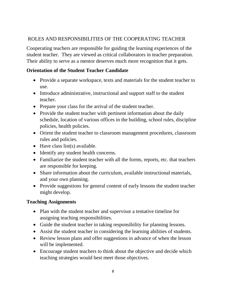# ROLES AND RESPONSIBILITIES OF THE COOPERATING TEACHER

Cooperating teachers are responsible for guiding the learning experiences of the student teacher. They are viewed as critical collaborators in teacher preparation. Their ability to serve as a mentor deserves much more recognition that it gets.

# **Orientation of the Student Teacher Candidate**

- Provide a separate workspace, texts and materials for the student teacher to use.
- Introduce administrative, instructional and support staff to the student teacher.
- Prepare your class for the arrival of the student teacher.
- Provide the student teacher with pertinent information about the daily schedule, location of various offices in the building, school rules, discipline policies, health policies.
- Orient the student teacher to classroom management procedures, classroom rules and policies.
- Have class list(s) available.
- Identify any student health concerns.
- Familiarize the student teacher with all the forms, reports, etc. that teachers are responsible for keeping.
- Share information about the curriculum, available instructional materials, and your own planning.
- Provide suggestions for general content of early lessons the student teacher might develop.

## **Teaching Assignments**

- Plan with the student teacher and supervisor a tentative timeline for assigning teaching responsibilities.
- Guide the student teacher in taking responsibility for planning lessons.
- Assist the student teacher in considering the learning abilities of students.
- Review lesson plans and offer suggestions in advance of when the lesson will be implemented.
- Encourage student teachers to think about the objective and decide which teaching strategies would best meet those objectives.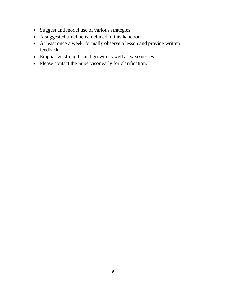- Suggest and model use of various strategies.
- A suggested timeline is included in this handbook.
- At least once a week, formally observe a lesson and provide written feedback.
- Emphasize strengths and growth as well as weaknesses.
- Please contact the Supervisor early for clarification.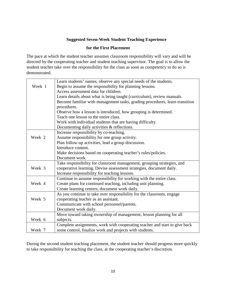#### **Suggested Seven-Week Student Teaching Experience**

#### **for the First Placement**

The pace at which the student teacher assumes classroom responsibility will vary and will be directed by the cooperating teacher and student teaching supervisor. The goal is to allow the student teacher take over the responsibility for the class as soon as competency to do so is demonstrated.

|        | Learn students' names, observe any special needs of the students.           |
|--------|-----------------------------------------------------------------------------|
| Week 1 | Begin to assume the responsibility for planning lessons.                    |
|        | Access assessment data for children.                                        |
|        | Learn details about what is being taught (curriculum), review manuals.      |
|        | Become familiar with management tasks, grading procedures, learn transition |
|        | procedures.                                                                 |
|        | Observe how a lesson is introduced, how grouping is determined.             |
|        | Teach one lesson to the entire class.                                       |
|        | Work with individual students that are having difficulty.                   |
|        | Documenting daily activities & reflections.                                 |
|        | Increase responsibility by co-teaching.                                     |
| Week 2 | Assume responsibility for one group activity.                               |
|        | Plan follow-up activities, lead a group discussion.                         |
|        | Introduce content.                                                          |
|        | Make decisions based on cooperating teacher's rules/policies.               |
|        | Document work.                                                              |
|        | Take responsibility for classroom management, grouping strategies, and      |
| Week 3 | cooperative learning. Devise assessment strategies, document daily.         |
|        | Increase responsibility for teaching lessons.                               |
|        | Continue to assume responsibility for working with the entire class.        |
| Week 4 | Create plans for continued teaching, including unit planning.               |
|        | Create learning centers, document work daily.                               |
|        | As you continue to take over responsibility for the classroom, engage       |
| Week 5 | cooperating teacher as an assistant.                                        |
|        | Communicate with school personnel/parents.                                  |
|        | Document work daily.                                                        |
|        | Move toward taking ownership of management, lesson planning for all         |
| Week 6 | subjects.                                                                   |
|        | Complete assignments, work with cooperating teacher and start to give back  |
| Week 7 | some control, finalize work and projects with students.                     |

During the second student teaching placement, the student teacher should progress more quickly to take responsibility for teaching the class, at the cooperating teacher's discretion.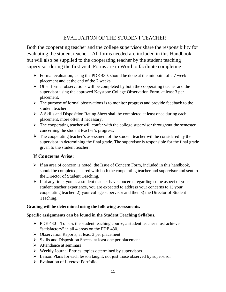## EVALUATION OF THE STUDENT TEACHER

Both the cooperating teacher and the college supervisor share the responsibility for evaluating the student teacher. All forms needed are included in this Handbook but will also be supplied to the cooperating teacher by the student teaching supervisor during the first visit. Forms are in Word to facilitate completing.

- $\triangleright$  Formal evaluation, using the PDE 430, should be done at the midpoint of a 7 week placement and at the end of the 7 weeks.
- $\triangleright$  Other formal observations will be completed by both the cooperating teacher and the supervisor using the approved Keystone College Observation Form, at least 3 per placement.
- $\triangleright$  The purpose of formal observations is to monitor progress and provide feedback to the student teacher.
- $\triangleright$  A Skills and Disposition Rating Sheet shall be completed at least once during each placement, more often if necessary.
- $\triangleright$  The cooperating teacher will confer with the college supervisor throughout the semester concerning the student teacher's progress.
- $\triangleright$  The cooperating teacher's assessment of the student teacher will be considered by the supervisor in determining the final grade. The supervisor is responsible for the final grade given to the student teacher.

#### **If Concerns Arise:**

- $\triangleright$  If an area of concern is noted, the Issue of Concern Form, included in this handbook, should be completed, shared with both the cooperating teacher and supervisor and sent to the Director of Student Teaching.
- $\triangleright$  If at any time, you as a student teacher have concerns regarding some aspect of your student teacher experience, you are expected to address your concerns to 1) your cooperating teacher, 2) your college supervisor and then 3) the Director of Student Teaching.

#### **Grading will be determined using the following assessments.**

#### **Specific assignments can be found in the Student Teaching Syllabus.**

- $\triangleright$  PDE 430 To pass the student teaching course, a student teacher must achieve "satisfactory" in all 4 areas on the PDE 430.
- $\triangleright$  Observation Reports, at least 3 per placement
- $\triangleright$  Skills and Disposition Sheets, at least one per placement
- $\triangleright$  Attendance at seminars
- $\triangleright$  Weekly Journal Entries, topics determined by supervisors
- $\triangleright$  Lesson Plans for each lesson taught, not just those observed by supervisor
- Evaluation of Livetext Portfolio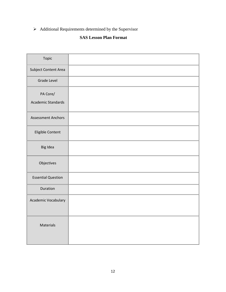$\triangleright$  Additional Requirements determined by the Supervisor

## **SAS Lesson Plan Format**

| Topic                     |  |
|---------------------------|--|
| Subject Content Area      |  |
| <b>Grade Level</b>        |  |
| PA Core/                  |  |
| <b>Academic Standards</b> |  |
| <b>Assessment Anchors</b> |  |
| Eligible Content          |  |
| Big Idea                  |  |
| Objectives                |  |
| <b>Essential Question</b> |  |
| Duration                  |  |
| Academic Vocabulary       |  |
| Materials                 |  |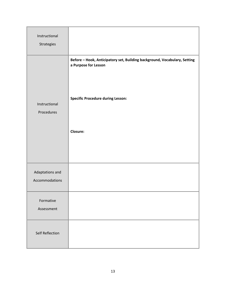| Instructional<br>Strategies       |                                                                                                                                                           |
|-----------------------------------|-----------------------------------------------------------------------------------------------------------------------------------------------------------|
| Instructional<br>Procedures       | Before - Hook, Anticipatory set, Building background, Vocabulary, Setting<br>a Purpose for Lesson<br><b>Specific Procedure during Lesson:</b><br>Closure: |
| Adaptations and<br>Accommodations |                                                                                                                                                           |
| Formative<br>Assessment           |                                                                                                                                                           |
| Self Reflection                   |                                                                                                                                                           |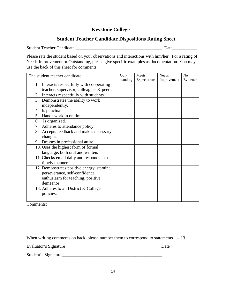#### **Keystone College**

### **Student Teacher Candidate Dispositions Rating Sheet**

Student Teacher Candidate \_\_\_\_\_\_\_\_\_\_\_\_\_\_\_\_\_\_\_\_\_\_\_\_\_\_\_\_\_\_\_\_\_\_\_\_\_\_\_ Date\_\_\_\_\_\_\_\_\_\_\_

Please rate the student based on your observations and interactions with him/her. For a rating of Needs Improvement or Outstanding, please give specific examples as documentation. You may use the back of this sheet for comments.

| The student teacher candidate:              |          | Meets<br>Expectations | <b>Needs</b><br>Improvement | No<br>Evidence |
|---------------------------------------------|----------|-----------------------|-----------------------------|----------------|
| 1. Interacts respectfully with cooperating  | standing |                       |                             |                |
| teacher, supervisor, colleagues & peers.    |          |                       |                             |                |
| Interacts respectfully with students.<br>2. |          |                       |                             |                |
| 3. Demonstrates the ability to work         |          |                       |                             |                |
| independently.                              |          |                       |                             |                |
| Is punctual.<br>4.                          |          |                       |                             |                |
| Hands work in on time.<br>$5_{-}$           |          |                       |                             |                |
| Is organized.<br>6.                         |          |                       |                             |                |
| Adheres to attendance policy.<br>7.         |          |                       |                             |                |
| Accepts feedback and makes necessary<br>8.  |          |                       |                             |                |
| changes.                                    |          |                       |                             |                |
| Dresses in professional attire.<br>9.       |          |                       |                             |                |
| 10. Uses the highest form of formal         |          |                       |                             |                |
| language, both oral and written.            |          |                       |                             |                |
| 11. Checks email daily and responds in a    |          |                       |                             |                |
| timely manner.                              |          |                       |                             |                |
| 12. Demonstrates positive energy, stamina,  |          |                       |                             |                |
| perseverance, self-confidence,              |          |                       |                             |                |
| enthusiasm for teaching, positive           |          |                       |                             |                |
| demeanor                                    |          |                       |                             |                |
| 13. Adheres to all District & College       |          |                       |                             |                |
| policies.                                   |          |                       |                             |                |
|                                             |          |                       |                             |                |

Comments:

When writing comments on back, please number them to correspond to statements  $1 - 13$ .

Evaluator's Signature\_\_\_\_\_\_\_\_\_\_\_\_\_\_\_\_\_\_\_\_\_\_\_\_\_\_\_\_\_\_\_\_\_\_\_\_\_\_\_\_\_\_\_ Date\_\_\_\_\_\_\_\_\_\_\_

Student's Signature \_\_\_\_\_\_\_\_\_\_\_\_\_\_\_\_\_\_\_\_\_\_\_\_\_\_\_\_\_\_\_\_\_\_\_\_\_\_\_\_\_\_\_\_\_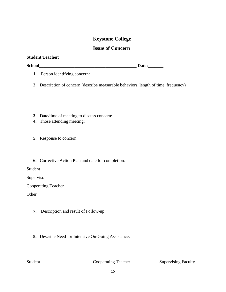#### **Keystone College**

#### **Issue of Concern**

| <b>Student Teacher:</b> |              |
|-------------------------|--------------|
| <b>School</b>           | <b>Date:</b> |

- **1.** Person identifying concern:
- **2.** Description of concern (describe measurable behaviors, length of time, frequency)
- **3.** Date/time of meeting to discuss concern:
- **4.** Those attending meeting:
- **5.** Response to concern:
- **6.** Corrective Action Plan and date for completion:

Student

Supervisor

Cooperating Teacher

**Other** 

- **7.** Description and result of Follow-up
- **8.** Describe Need for Intensive On-Going Assistance:

Student Cooperating Teacher Supervising Faculty

\_\_\_\_\_\_\_\_\_\_\_\_\_\_\_\_\_\_\_\_\_\_\_\_\_\_\_ \_\_\_\_\_\_\_\_\_\_\_\_\_\_\_\_\_\_\_\_\_\_\_\_\_\_\_ \_\_\_\_\_\_\_\_\_\_\_\_\_\_\_\_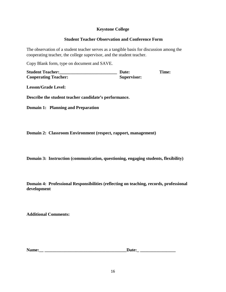#### **Keystone College**

#### **Student Teacher Observation and Conference Form**

The observation of a student teacher serves as a tangible basis for discussion among the cooperating teacher, the college supervisor, and the student teacher.

Copy Blank form, type on document and SAVE.

**Student Teacher:\_\_\_\_\_\_\_\_\_\_\_\_\_\_\_\_\_\_\_\_\_\_\_\_\_\_ Date: Time: Cooperating Teacher: Supervisor:** 

**Lesson/Grade Level:** 

**Describe the student teacher candidate's performance.**

**Domain 1: Planning and Preparation**

**Domain 2: Classroom Environment (respect, rapport, management)**

**Domain 3: Instruction (communication, questioning, engaging students, flexibility)**

**Domain 4: Professional Responsibilities (reflecting on teaching, records, professional development**

**Additional Comments:**

**Name:\_\_ \_\_\_\_\_\_\_\_\_\_\_\_\_\_\_\_\_\_\_\_\_\_\_\_\_\_\_\_\_\_\_\_\_\_\_\_\_Date:\_ \_\_\_\_\_\_\_\_\_\_\_\_\_\_\_\_**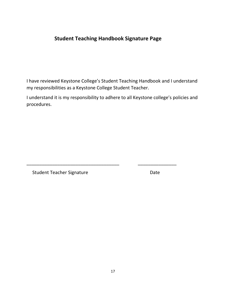# **Student Teaching Handbook Signature Page**

I have reviewed Keystone College's Student Teaching Handbook and I understand my responsibilities as a Keystone College Student Teacher.

I understand it is my responsibility to adhere to all Keystone college's policies and procedures.

\_\_\_\_\_\_\_\_\_\_\_\_\_\_\_\_\_\_\_\_\_\_\_\_\_\_\_\_\_\_\_\_\_\_\_\_ \_\_\_\_\_\_\_\_\_\_\_\_\_\_\_

Student Teacher Signature **Date** Date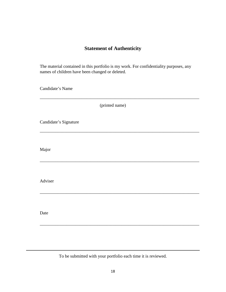## **Statement of Authenticity**

The material contained in this portfolio is my work. For confidentiality purposes, any names of children have been changed or deleted.

Candidate's Name

(printed name)

\_\_\_\_\_\_\_\_\_\_\_\_\_\_\_\_\_\_\_\_\_\_\_\_\_\_\_\_\_\_\_\_\_\_\_\_\_\_\_\_\_\_\_\_\_\_\_\_\_\_\_\_\_\_\_\_\_\_\_\_\_\_\_\_\_\_\_\_\_\_\_\_

\_\_\_\_\_\_\_\_\_\_\_\_\_\_\_\_\_\_\_\_\_\_\_\_\_\_\_\_\_\_\_\_\_\_\_\_\_\_\_\_\_\_\_\_\_\_\_\_\_\_\_\_\_\_\_\_\_\_\_\_\_\_\_\_\_\_\_\_\_\_\_\_

\_\_\_\_\_\_\_\_\_\_\_\_\_\_\_\_\_\_\_\_\_\_\_\_\_\_\_\_\_\_\_\_\_\_\_\_\_\_\_\_\_\_\_\_\_\_\_\_\_\_\_\_\_\_\_\_\_\_\_\_\_\_\_\_\_\_\_\_\_\_\_\_

\_\_\_\_\_\_\_\_\_\_\_\_\_\_\_\_\_\_\_\_\_\_\_\_\_\_\_\_\_\_\_\_\_\_\_\_\_\_\_\_\_\_\_\_\_\_\_\_\_\_\_\_\_\_\_\_\_\_\_\_\_\_\_\_\_\_\_\_\_\_\_\_

\_\_\_\_\_\_\_\_\_\_\_\_\_\_\_\_\_\_\_\_\_\_\_\_\_\_\_\_\_\_\_\_\_\_\_\_\_\_\_\_\_\_\_\_\_\_\_\_\_\_\_\_\_\_\_\_\_\_\_\_\_\_\_\_\_\_\_\_\_\_\_\_

Candidate's Signature

Major

Adviser

Date

To be submitted with your portfolio each time it is reviewed.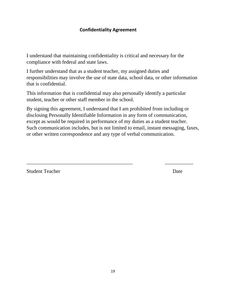### **Confidentiality Agreement**

I understand that maintaining confidentiality is critical and necessary for the compliance with federal and state laws.

I further understand that as a student teacher, my assigned duties and responsibilities may involve the use of state data, school data, or other information that is confidential.

This information that is confidential may also personally identify a particular student, teacher or other staff member in the school.

By signing this agreement, I understand that I am prohibited from including or disclosing Personally Identifiable Information in any form of communication, except as would be required in performance of my duties as a student teacher. Such communication includes, but is not limited to email, instant messaging, faxes, or other written correspondence and any type of verbal communication.

\_\_\_\_\_\_\_\_\_\_\_\_\_\_\_\_\_\_\_\_\_\_\_\_\_\_\_\_\_\_\_\_\_\_\_\_\_\_\_\_\_ \_\_\_\_\_\_\_\_\_\_\_

Student Teacher Date